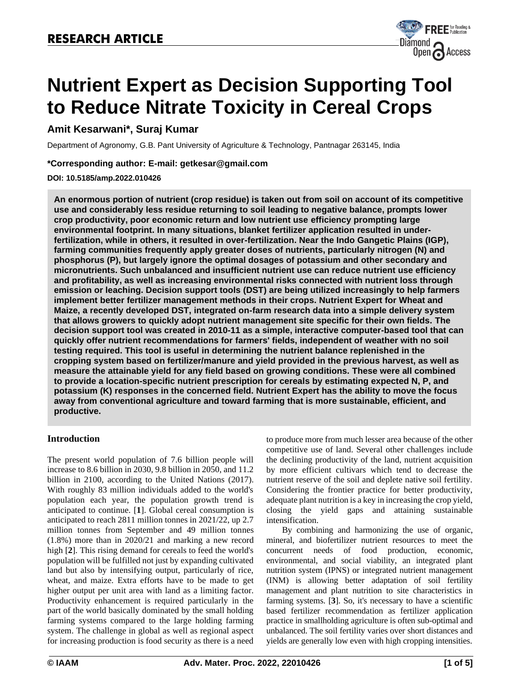

# **Nutrient Expert as Decision Supporting Tool to Reduce Nitrate Toxicity in Cereal Crops**

# **Amit Kesarwani\*, Suraj Kumar**

Department of Agronomy, G.B. Pant University of Agriculture & Technology, Pantnagar 263145, India

## **\*Corresponding author: E-mail: [getkesar@gmail.com](mailto:getkesar@gmail.com)**

## **DOI: 10.5185/amp.2022.010426**

**An enormous portion of nutrient (crop residue) is taken out from soil on account of its competitive use and considerably less residue returning to soil leading to negative balance, prompts lower crop productivity, poor economic return and low nutrient use efficiency prompting large environmental footprint. In many situations, blanket fertilizer application resulted in underfertilization, while in others, it resulted in over-fertilization. Near the Indo Gangetic Plains (IGP), farming communities frequently apply greater doses of nutrients, particularly nitrogen (N) and phosphorus (P), but largely ignore the optimal dosages of potassium and other secondary and micronutrients. Such unbalanced and insufficient nutrient use can reduce nutrient use efficiency and profitability, as well as increasing environmental risks connected with nutrient loss through emission or leaching. Decision support tools (DST) are being utilized increasingly to help farmers implement better fertilizer management methods in their crops. Nutrient Expert for Wheat and Maize, a recently developed DST, integrated on-farm research data into a simple delivery system that allows growers to quickly adopt nutrient management site specific for their own fields. The decision support tool was created in 2010-11 as a simple, interactive computer-based tool that can quickly offer nutrient recommendations for farmers' fields, independent of weather with no soil testing required. This tool is useful in determining the nutrient balance replenished in the cropping system based on fertilizer/manure and yield provided in the previous harvest, as well as measure the attainable yield for any field based on growing conditions. These were all combined to provide a location-specific nutrient prescription for cereals by estimating expected N, P, and potassium (K) responses in the concerned field. Nutrient Expert has the ability to move the focus away from conventional agriculture and toward farming that is more sustainable, efficient, and productive.**

# **Introduction**

The present world population of 7.6 billion people will increase to 8.6 billion in 2030, 9.8 billion in 2050, and 11.2 billion in 2100, according to the United Nations (2017). With roughly 83 million individuals added to the world's population each year, the population growth trend is anticipated to continue. [**1**]. Global cereal consumption is anticipated to reach 2811 million tonnes in 2021/22, up 2.7 million tonnes from September and 49 million tonnes (1.8%) more than in 2020/21 and marking a new record high [**2**]. This rising demand for cereals to feed the world's population will be fulfilled not just by expanding cultivated land but also by intensifying output, particularly of rice, wheat, and maize. Extra efforts have to be made to get higher output per unit area with land as a limiting factor. Productivity enhancement is required particularly in the part of the world basically dominated by the small holding farming systems compared to the large holding farming system. The challenge in global as well as regional aspect for increasing production is food security as there is a need

to produce more from much lesser area because of the other competitive use of land. Several other challenges include the declining productivity of the land, nutrient acquisition by more efficient cultivars which tend to decrease the nutrient reserve of the soil and deplete native soil fertility. Considering the frontier practice for better productivity, adequate plant nutrition is a key in increasing the crop yield, closing the yield gaps and attaining sustainable intensification.

By combining and harmonizing the use of organic, mineral, and biofertilizer nutrient resources to meet the concurrent needs of food production, economic, environmental, and social viability, an integrated plant nutrition system (IPNS) or integrated nutrient management (INM) is allowing better adaptation of soil fertility management and plant nutrition to site characteristics in farming systems. [**3**]. So, it's necessary to have a scientific based fertilizer recommendation as fertilizer application practice in smallholding agriculture is often sub-optimal and unbalanced. The soil fertility varies over short distances and yields are generally low even with high cropping intensities.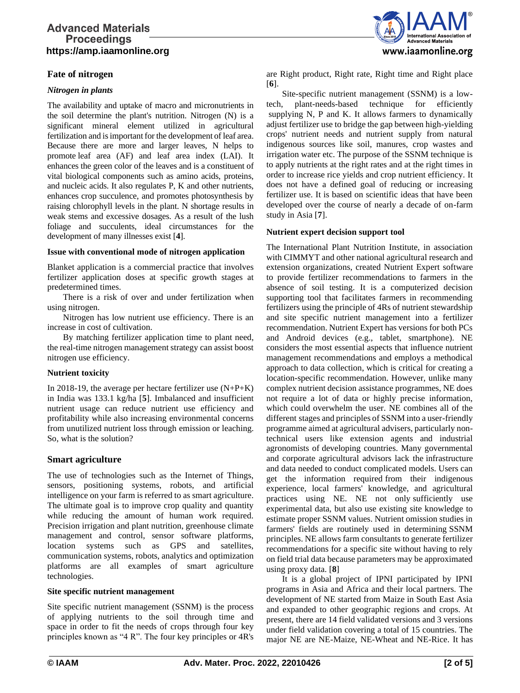# **Advanced Materials Proceedings https://amp.iaamonline.org**

# **Fate of nitrogen**

#### *Nitrogen in plants*

The availability and uptake of macro and micronutrients in the soil determine the plant's nutrition. Nitrogen (N) is a significant mineral element utilized in agricultural fertilization and is important for the development of leaf area. Because there are more and larger leaves, N helps to promote leaf area (AF) and leaf area index (LAI). It enhances the green color of the leaves and is a constituent of vital biological components such as amino acids, proteins, and nucleic acids. It also regulates P, K and other nutrients, enhances crop succulence, and promotes photosynthesis by raising chlorophyll levels in the plant. N shortage results in weak stems and excessive dosages. As a result of the lush foliage and succulents, ideal circumstances for the development of many illnesses exist [**4**].

#### **Issue with conventional mode of nitrogen application**

Blanket application is a commercial practice that involves fertilizer application doses at specific growth stages at predetermined times.

There is a risk of over and under fertilization when using nitrogen.

Nitrogen has low nutrient use efficiency. There is an increase in cost of cultivation.

By matching fertilizer application time to plant need, the real-time nitrogen management strategy can assist boost nitrogen use efficiency.

#### **Nutrient toxicity**

In 2018-19, the average per hectare fertilizer use (N+P+K) in India was 133.1 kg/ha [**5**]. Imbalanced and insufficient nutrient usage can reduce nutrient use efficiency and profitability while also increasing environmental concerns from unutilized nutrient loss through emission or leaching. So, what is the solution?

#### **Smart agriculture**

The use of technologies such as the Internet of Things, sensors, positioning systems, robots, and artificial intelligence on your farm is referred to as smart agriculture. The ultimate goal is to improve crop quality and quantity while reducing the amount of human work required. Precision irrigation and plant nutrition, greenhouse climate management and control, sensor software platforms, location systems such as GPS and satellites, communication systems, robots, analytics and optimization platforms are all examples of smart agriculture technologies.

#### **Site specific nutrient management**

Site specific nutrient management (SSNM) is the process of applying nutrients to the soil through time and space in order to fit the needs of crops through four key principles known as "4 R". The four key principles or 4R's



are Right product, Right rate, Right time and Right place [**6**].

Site-specific nutrient management (SSNM) is a lowtech, plant-needs-based technique for efficiently supplying N, P and K. It allows farmers to dynamically adjust fertilizer use to bridge the gap between high-yielding crops' nutrient needs and nutrient supply from natural indigenous sources like soil, manures, crop wastes and irrigation water etc. The purpose of the SSNM technique is to apply nutrients at the right rates and at the right times in order to increase rice yields and crop nutrient efficiency. It does not have a defined goal of reducing or increasing fertilizer use. It is based on scientific ideas that have been developed over the course of nearly a decade of on-farm study in Asia [**7**].

#### **Nutrient expert decision support tool**

The International Plant Nutrition Institute, in association with CIMMYT and other national agricultural research and extension organizations, created Nutrient Expert software to provide fertilizer recommendations to farmers in the absence of soil testing. It is a computerized decision supporting tool that facilitates farmers in recommending fertilizers using the principle of 4Rs of nutrient stewardship and site specific nutrient management into a fertilizer recommendation. Nutrient Expert has versions for both PCs and Android devices (e.g., tablet, smartphone). NE considers the most essential aspects that influence nutrient management recommendations and employs a methodical approach to data collection, which is critical for creating a location-specific recommendation. However, unlike many complex nutrient decision assistance programmes, NE does not require a lot of data or highly precise information, which could overwhelm the user. NE combines all of the different stages and principles of SSNM into a user-friendly programme aimed at agricultural advisers, particularly nontechnical users like extension agents and industrial agronomists of developing countries. Many governmental and corporate agricultural advisors lack the infrastructure and data needed to conduct complicated models. Users can get the information required from their indigenous experience, local farmers' knowledge, and agricultural practices using NE. NE not only sufficiently use experimental data, but also use existing site knowledge to estimate proper SSNM values. Nutrient omission studies in farmers' fields are routinely used in determining SSNM principles. NE allows farm consultants to generate fertilizer recommendations for a specific site without having to rely on field trial data because parameters may be approximated using proxy data. [**8**]

It is a global project of IPNI participated by IPNI programs in Asia and Africa and their local partners. The development of NE started from Maize in South East Asia and expanded to other geographic regions and crops. At present, there are 14 field validated versions and 3 versions under field validation covering a total of 15 countries. The major NE are NE-Maize, NE-Wheat and NE-Rice. It has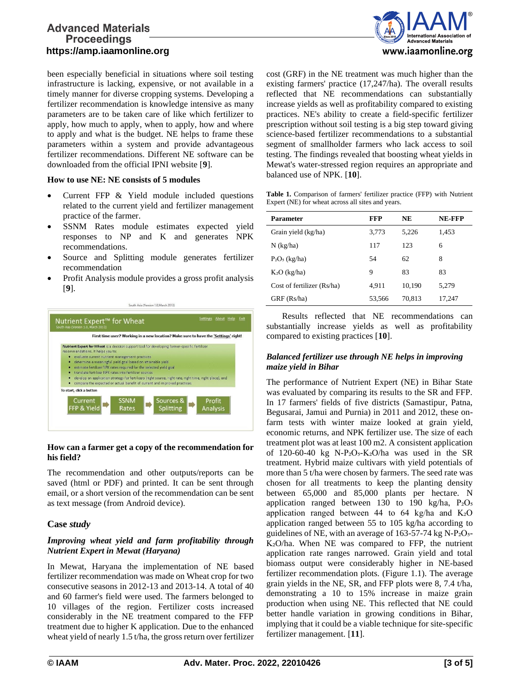# **Advanced Materials Proceedings https://amp.iaamonline.org**

been especially beneficial in situations where soil testing infrastructure is lacking, expensive, or not available in a timely manner for diverse cropping systems. Developing a fertilizer recommendation is knowledge intensive as many parameters are to be taken care of like which fertilizer to apply, how much to apply, when to apply, how and where to apply and what is the budget. NE helps to frame these parameters within a system and provide advantageous fertilizer recommendations. Different NE software can be downloaded from the official IPNI website [**9**].

#### **How to use NE: NE consists of 5 modules**

- Current FFP & Yield module included questions related to the current yield and fertilizer management practice of the farmer.
- SSNM Rates module estimates expected yield responses to NP and K and generates NPK recommendations.
- Source and Splitting module generates fertilizer recommendation
- Profit Analysis module provides a gross profit analysis [**9**].



#### **How can a farmer get a copy of the recommendation for his field?**

The recommendation and other outputs/reports can be saved (html or PDF) and printed. It can be sent through email, or a short version of the recommendation can be sent as text message (from Android device).

# **Case** *study*

# *Improving wheat yield and farm profitability through Nutrient Expert in Mewat (Haryana)*

In Mewat, Haryana the implementation of NE based fertilizer recommendation was made on Wheat crop for two consecutive seasons in 2012-13 and 2013-14. A total of 40 and 60 farmer's field were used. The farmers belonged to 10 villages of the region. Fertilizer costs increased considerably in the NE treatment compared to the FFP treatment due to higher K application. Due to the enhanced wheat yield of nearly 1.5 t/ha, the gross return over fertilizer



cost (GRF) in the NE treatment was much higher than the existing farmers' practice (17,247/ha). The overall results reflected that NE recommendations can substantially increase yields as well as profitability compared to existing practices. NE's ability to create a field-specific fertilizer prescription without soil testing is a big step toward giving science-based fertilizer recommendations to a substantial segment of smallholder farmers who lack access to soil testing. The findings revealed that boosting wheat yields in Mewat's water-stressed region requires an appropriate and balanced use of NPK. [**10**].

**Table 1.** Comparison of farmers' fertilizer practice (FFP) with Nutrient Expert (NE) for wheat across all sites and years.

| Parameter                  | FFP    | <b>NE</b> | NE-FFP |
|----------------------------|--------|-----------|--------|
| Grain yield (kg/ha)        | 3,773  | 5.226     | 1,453  |
| $N$ (kg/ha)                | 117    | 123       | 6      |
| $P_2O_5$ (kg/ha)           | 54     | 62        | 8      |
| $K_2O$ (kg/ha)             | 9      | 83        | 83     |
| Cost of fertilizer (Rs/ha) | 4.911  | 10,190    | 5,279  |
| GRF (Rs/ha)                | 53,566 | 70,813    | 17,247 |

Results reflected that NE recommendations can substantially increase yields as well as profitability compared to existing practices [**10**].

# *Balanced fertilizer use through NE helps in improving maize yield in Bihar*

The performance of Nutrient Expert (NE) in Bihar State was evaluated by comparing its results to the SR and FFP. In 17 farmers' fields of five districts (Samastipur, Patna, Begusarai, Jamui and Purnia) in 2011 and 2012, these onfarm tests with winter maize looked at grain yield, economic returns, and NPK fertilizer use. The size of each treatment plot was at least 100 m2. A consistent application of  $120-60-40$  kg N-P<sub>2</sub>O<sub>5</sub>-K<sub>2</sub>O/ha was used in the SR treatment. Hybrid maize cultivars with yield potentials of more than 5 t/ha were chosen by farmers. The seed rate was chosen for all treatments to keep the planting density between 65,000 and 85,000 plants per hectare. N application ranged between 130 to 190 kg/ha,  $P_2O_5$ application ranged between 44 to 64 kg/ha and  $K_2O$ application ranged between 55 to 105 kg/ha according to guidelines of NE, with an average of  $163-57-74$  kg N-P<sub>2</sub>O<sub>5</sub>-K<sub>2</sub>O/ha. When NE was compared to FFP, the nutrient application rate ranges narrowed. Grain yield and total biomass output were considerably higher in NE-based fertilizer recommendation plots. (Figure 1.1). The average grain yields in the NE, SR, and FFP plots were 8, 7.4 t/ha, demonstrating a 10 to 15% increase in maize grain production when using NE. This reflected that NE could better handle variation in growing conditions in Bihar, implying that it could be a viable technique for site-specific fertilizer management. [**11**].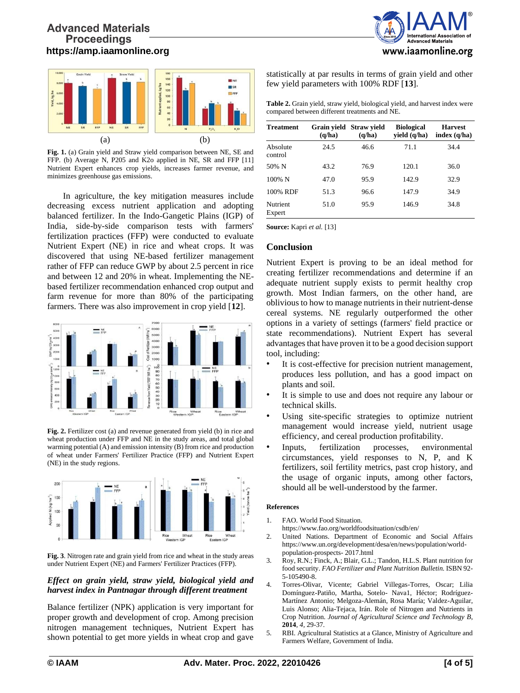

**Fig. 1.** (a) Grain yield and Straw yield comparison between NE, SE and FFP. (b) Average N, P205 and K2o applied in NE, SR and FFP [11] Nutrient Expert enhances crop yields, increases farmer revenue, and minimizes greenhouse gas emissions.

In agriculture, the key mitigation measures include decreasing excess nutrient application and adopting balanced fertilizer. In the Indo-Gangetic Plains (IGP) of India, side-by-side comparison tests with farmers' fertilization practices (FFP) were conducted to evaluate Nutrient Expert (NE) in rice and wheat crops. It was discovered that using NE-based fertilizer management rather of FFP can reduce GWP by about 2.5 percent in rice and between 12 and 20% in wheat. Implementing the NEbased fertilizer recommendation enhanced crop output and farm revenue for more than 80% of the participating farmers. There was also improvement in crop yield [**12**].



**Fig. 2.** Fertilizer cost (a) and revenue generated from yield (b) in rice and wheat production under FFP and NE in the study areas, and total global warming potential (A) and emission intensity (B) from rice and production of wheat under Farmers' Fertilizer Practice (FFP) and Nutrient Expert (NE) in the study regions.



**Fig. 3**. Nitrogen rate and grain yield from rice and wheat in the study areas under Nutrient Expert (NE) and Farmers' Fertilizer Practices (FFP).

#### *Effect on grain yield, straw yield, biological yield and harvest index in Pantnagar through different treatment*

Balance fertilizer (NPK) application is very important for proper growth and development of crop. Among precision nitrogen management techniques, Nutrient Expert has shown potential to get more yields in wheat crop and gave



statistically at par results in terms of grain yield and other few yield parameters with 100% RDF [**13**].

| <b>Table 2.</b> Grain yield, straw yield, biological yield, and harvest index were |
|------------------------------------------------------------------------------------|
| compared between different treatments and NE.                                      |

| <b>Treatment</b>    | (q/ha) | Grain yield Straw yield<br>(q/ha) | <b>Biological</b><br>yield (q/ha) | <b>Harvest</b><br>index $(q/ha)$ |
|---------------------|--------|-----------------------------------|-----------------------------------|----------------------------------|
| Absolute<br>control | 24.5   | 46.6                              | 71.1                              | 34.4                             |
| 50% N               | 43.2   | 76.9                              | 120.1                             | 36.0                             |
| $100\%$ N           | 47.0   | 95.9                              | 142.9                             | 32.9                             |
| 100% RDF            | 51.3   | 96.6                              | 147.9                             | 34.9                             |
| Nutrient<br>Expert  | 51.0   | 95.9                              | 146.9                             | 34.8                             |

**Source:** Kapri *et al.* [13]

#### **Conclusion**

Nutrient Expert is proving to be an ideal method for creating fertilizer recommendations and determine if an adequate nutrient supply exists to permit healthy crop growth. Most Indian farmers, on the other hand, are oblivious to how to manage nutrients in their nutrient-dense cereal systems. NE regularly outperformed the other options in a variety of settings (farmers' field practice or state recommendations). Nutrient Expert has several advantages that have proven it to be a good decision support tool, including:

- It is cost-effective for precision nutrient management, produces less pollution, and has a good impact on plants and soil.
- It is simple to use and does not require any labour or technical skills.
- Using site-specific strategies to optimize nutrient management would increase yield, nutrient usage efficiency, and cereal production profitability.
- Inputs, fertilization processes, environmental circumstances, yield responses to N, P, and K fertilizers, soil fertility metrics, past crop history, and the usage of organic inputs, among other factors, should all be well-understood by the farmer.

#### **References**

- 1. FAO. World Food Situation.
- [https://www.fao.org](http://www.fao.org/worldfoodsituation/csdb/e)/[worldfoodsituation/csdb/e](http://www.fao.org/worldfoodsituation/csdb/e)n/
- 2. United Nations. Department of Economic and Social Affairs [https://www.u](http://www.un.org/development/desa/en/news)n.o[rg/development/desa/en/news/](http://www.un.org/development/desa/en/news)population/worldpopulation-prospects- 2017.html
- 3. Roy, R.N.; Finck, A.; Blair, G.L.; Tandon, H.L.S. Plant nutrition for food security. *FAO Fertilizer and Plant Nutrition Bulletin.* ISBN 92- 5-105490-8.
- 4. Torres-Olivar, Vicente; Gabriel Villegas-Torres, Oscar; Lilia Domínguez-Patiño, Martha, Sotelo- Nava1, Héctor; Rodríguez-Martínez Antonio; Melgoza-Alemán, Rosa María; Valdez-Aguilar, Luis Alonso; Alia-Tejaca, Irán. Role of Nitrogen and Nutrients in Crop Nutrition. *Journal of Agricultural Science and Technology B,* **2014**, *4,* 29-37.
- 5. RBI. Agricultural Statistics at a Glance, Ministry of Agriculture and Farmers Welfare, Government of India.